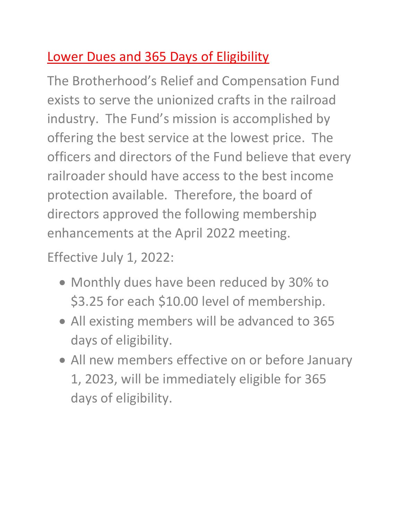### Lower Dues and 365 Days of Eligibility

The Brotherhood's Relief and Compensation Fund exists to serve the unionized crafts in the railroad industry. The Fund's mission is accomplished by offering the best service at the lowest price. The officers and directors of the Fund believe that every railroader should have access to the best income protection available. Therefore, the board of directors approved the following membership enhancements at the April 2022 meeting.

Effective July 1, 2022:

- Monthly dues have been reduced by 30% to \$3.25 for each \$10.00 level of membership.
- All existing members will be advanced to 365 days of eligibility.
- All new members effective on or before January 1, 2023, will be immediately eligible for 365 days of eligibility.